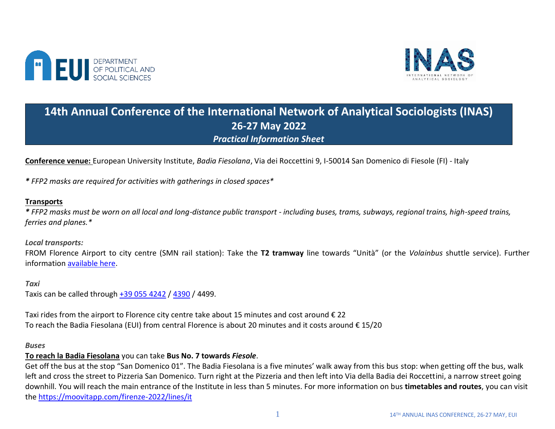



# **14th Annual Conference of the International Network of Analytical Sociologists (INAS) 26-27 May 2022** *Practical Information Sheet*

**Conference venue:** European University Institute, *Badia Fiesolana*, Via dei Roccettini 9, I-50014 San Domenico di Fiesole (FI) - Italy

*\* FFP2 masks are required for activities with gatherings in closed spaces\**

## **Transports**

*\* FFP2 masks must be worn on all local and long-distance public transport - including buses, trams, subways, regional trains, high-speed trains, ferries and planes.\**

*Local transports:*

FROM Florence Airport to city centre (SMN rail station): Take the **T2 tramway** line towards "Unità" (or the *Volainbus* shuttle service). Further information [available here.](https://www.aeroporto.firenze.it/en/the-passengers/transport/tramway.html)

*Taxi*  Taxis can be called through [+39 055 4242](https://4242.it/en/services/taxi-shipment/) / [4390](http://www.4390.it/) / 4499.

Taxi rides from the airport to Florence city centre take about 15 minutes and cost around  $\epsilon$  22 To reach the Badia Fiesolana (EUI) from central Florence is about 20 minutes and it costs around € 15/20

#### *Buses*

## **To reach la Badia Fiesolana** you can take **Bus No. 7 towards** *Fiesole*.

Get off the bus at the stop "San Domenico 01". The Badia Fiesolana is a five minutes' walk away from this bus stop: when getting off the bus, walk left and cross the street to Pizzeria San Domenico. Turn right at the Pizzeria and then left into Via della Badia dei Roccettini, a narrow street going downhill. You will reach the main entrance of the Institute in less than 5 minutes. For more information on bus **timetables and routes**, you can visit the<https://moovitapp.com/firenze-2022/lines/it>